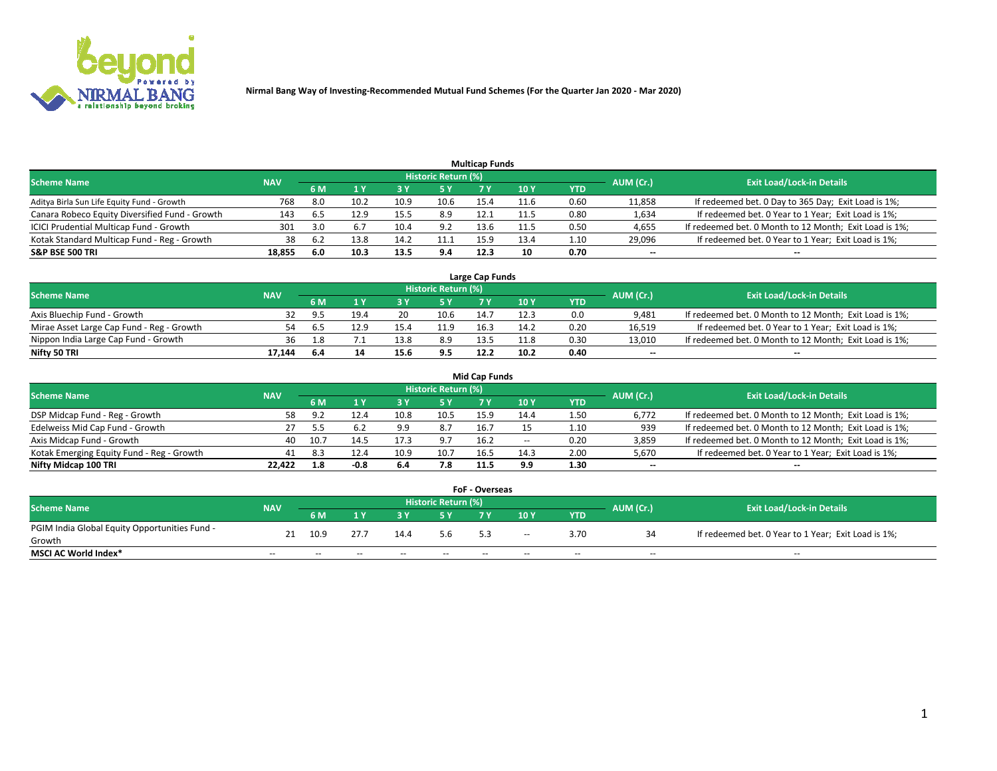

|                                                |            |     |      |      |                     | <b>Multicap Funds</b> |      |      |                          |                                                        |
|------------------------------------------------|------------|-----|------|------|---------------------|-----------------------|------|------|--------------------------|--------------------------------------------------------|
| Scheme Name                                    | <b>NAV</b> |     |      |      | Historic Return (%) |                       |      |      | AUM (Cr.)                | <b>Exit Load/Lock-in Details</b>                       |
|                                                |            | 6 M |      |      | 5 Y                 |                       | 10 ۱ | YTD  |                          |                                                        |
| Aditya Birla Sun Life Equity Fund - Growth     | 768        | 8.0 | 10.2 | 10.9 | 10.6                | 15.4                  | 11.6 | 0.60 | 11,858                   | If redeemed bet. 0 Day to 365 Day; Exit Load is 1%;    |
| Canara Robeco Equity Diversified Fund - Growth | 143        | 6.5 | 12.9 | 15.5 | 8.9                 | 12.1                  | 11.5 | 0.80 | 1,634                    | If redeemed bet. 0 Year to 1 Year; Exit Load is 1%;    |
| ICICI Prudential Multicap Fund - Growth        | 301        | 3.0 |      | 10.4 | 9.2                 | 13.6                  | 11.5 | 0.50 | 4,655                    | If redeemed bet. 0 Month to 12 Month; Exit Load is 1%; |
| Kotak Standard Multicap Fund - Reg - Growth    | 38         | 6.2 | 13.8 |      | 11.1                | 15.9                  | 13.4 | 1.10 | 29,096                   | If redeemed bet. 0 Year to 1 Year; Exit Load is 1%;    |
| <b>S&amp;P BSE 500 TRI</b>                     | 18.855     | 6.0 | 10.3 | 13.5 | 9.4                 | 12.3                  | 10   | 0.70 | $\overline{\phantom{a}}$ | $- -$                                                  |

| Large Cap Funds                           |            |           |                                  |      |      |      |      |      |        |                                                        |  |  |  |  |
|-------------------------------------------|------------|-----------|----------------------------------|------|------|------|------|------|--------|--------------------------------------------------------|--|--|--|--|
| Scheme Name                               | <b>NAV</b> | AUM (Cr.) | <b>Exit Load/Lock-in Details</b> |      |      |      |      |      |        |                                                        |  |  |  |  |
|                                           |            | 6 M       |                                  |      | 5 Y  | 7 Y  | 10Y  | YTD  |        |                                                        |  |  |  |  |
| Axis Bluechip Fund - Growth               |            |           | 19.4                             | 20   | 10.6 | 14.  | 12.3 | 0.0  | 9,481  | If redeemed bet. 0 Month to 12 Month; Exit Load is 1%; |  |  |  |  |
| Mirae Asset Large Cap Fund - Reg - Growth | 54         |           | 12.9                             |      | 11.9 | 16.3 | 14.2 | 0.20 | 16,519 | If redeemed bet. 0 Year to 1 Year; Exit Load is 1%;    |  |  |  |  |
| Nippon India Large Cap Fund - Growth      | 36         |           |                                  | 13.8 | 8.9  | 12.5 | 11.8 | 0.30 | 13,010 | If redeemed bet. 0 Month to 12 Month; Exit Load is 1%; |  |  |  |  |
| Nifty 50 TRI                              | 17.144     | 6.4       |                                  | 15.6 | 9.5  | 12.2 | 10.2 | 0.40 | $\sim$ | $-$                                                    |  |  |  |  |

|                                           |            |      |      |      |                     | <b>Mid Cap Funds</b> |        |            |           |                                                        |
|-------------------------------------------|------------|------|------|------|---------------------|----------------------|--------|------------|-----------|--------------------------------------------------------|
| <b>Scheme Name</b>                        | <b>NAV</b> |      |      |      | Historic Return (%) |                      |        |            | AUM (Cr.) | <b>Exit Load/Lock-in Details</b>                       |
|                                           |            | 6 M  |      |      |                     |                      | 10Y    | <b>YTD</b> |           |                                                        |
| DSP Midcap Fund - Reg - Growth            | 58.        | ч.   |      | 10.8 | 10.5                | 15.9                 | 14.4   | 1.50       | 6,772     | If redeemed bet. 0 Month to 12 Month; Exit Load is 1%; |
| Edelweiss Mid Cap Fund - Growth           |            |      | 6.2  | 9.9  | 8.7                 | 16.7                 |        | 1.10       | 939       | If redeemed bet. 0 Month to 12 Month; Exit Load is 1%; |
| Axis Midcap Fund - Growth                 | 40         | 10.7 |      | 17.3 | 9.7                 | 16.2                 | $\sim$ | 0.20       | 3,859     | If redeemed bet. 0 Month to 12 Month; Exit Load is 1%; |
| Kotak Emerging Equity Fund - Reg - Growth | 41         | -8.3 | 12.4 | 10.9 | 10.7                | 16.5                 | 14.3   | 2.00       | 5,670     | If redeemed bet. 0 Year to 1 Year; Exit Load is 1%;    |
| Nifty Midcap 100 TRI                      | 22.422     | 1.8  | -0.8 | 6.4  | 7.8                 | 11.5                 | 9.9    | 1.30       | $\sim$    |                                                        |

| <b>FoF - Overseas</b>                         |            |                                                                             |       |       |       |     |        |            |       |                                                     |  |  |  |
|-----------------------------------------------|------------|-----------------------------------------------------------------------------|-------|-------|-------|-----|--------|------------|-------|-----------------------------------------------------|--|--|--|
| <b>Scheme Name</b>                            | <b>NAV</b> | <b>Historic Return (%)</b><br>AUM (Cr.)<br><b>Exit Load/Lock-in Details</b> |       |       |       |     |        |            |       |                                                     |  |  |  |
|                                               |            | 6 M                                                                         |       |       |       |     | 10Y    | <b>YTD</b> |       |                                                     |  |  |  |
| PGIM India Global Equity Opportunities Fund - | 21         | 10.9                                                                        | 27.7  | 14.4  | 5.6   |     | $\sim$ | 3.70       |       | If redeemed bet. 0 Year to 1 Year; Exit Load is 1%; |  |  |  |
| Growth                                        |            |                                                                             |       |       |       | 5.3 |        |            |       |                                                     |  |  |  |
| <b>MSCI AC World Index*</b>                   | $- -$      | $- -$                                                                       | $- -$ | $- -$ | $- -$ | --  | $- -$  | $- -$      | $- -$ | $- -$                                               |  |  |  |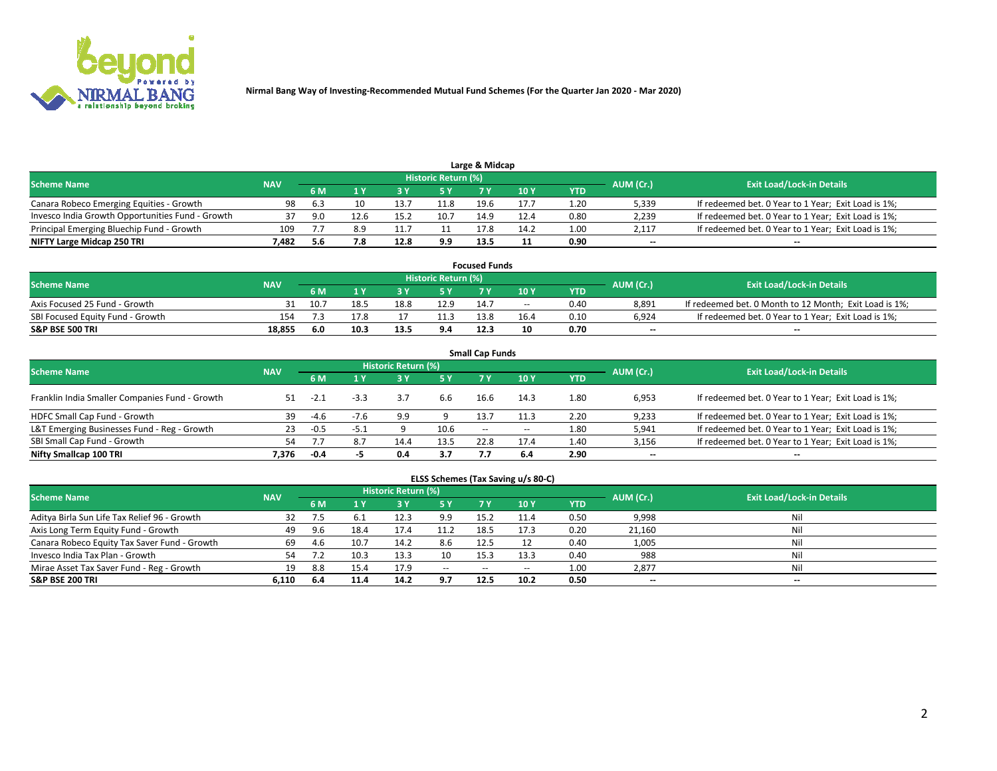

| Large & Midcap                                   |            |      |      |      |                     |      |      |      |           |                                                     |  |  |  |  |
|--------------------------------------------------|------------|------|------|------|---------------------|------|------|------|-----------|-----------------------------------------------------|--|--|--|--|
| <b>Scheme Name</b>                               | <b>NAV</b> |      |      |      | Historic Return (%) |      |      |      | AUM (Cr.) | <b>Exit Load/Lock-in Details</b>                    |  |  |  |  |
|                                                  |            | 6 M  |      |      | 5 Y                 |      | 10Y  | YTD  |           |                                                     |  |  |  |  |
| Canara Robeco Emerging Equities - Growth         | 98         | -6.3 |      | 13.7 | 11.8                | 19.6 | 17.7 | 1.20 | 5,339     | If redeemed bet. 0 Year to 1 Year; Exit Load is 1%; |  |  |  |  |
| Invesco India Growth Opportunities Fund - Growth |            | 9.N  | 12.6 | 15.2 | 10.7                | 14.9 | 12.4 | 0.80 | 2,239     | If redeemed bet. 0 Year to 1 Year; Exit Load is 1%; |  |  |  |  |
| Principal Emerging Bluechip Fund - Growth        | 109        |      | 8.9  |      |                     | 17.8 | 14.2 | 1.00 | 2,117     | If redeemed bet. 0 Year to 1 Year; Exit Load is 1%; |  |  |  |  |
| NIFTY Large Midcap 250 TRI                       | 482.'      | 5.6  | 7.8  | 12.8 | 9.9                 | 13.5 |      | 0.90 | $\sim$    | $-$                                                 |  |  |  |  |

| <b>Focused Funds</b>             |            |      |      |      |                     |      |       |            |                          |                                                        |  |  |  |
|----------------------------------|------------|------|------|------|---------------------|------|-------|------------|--------------------------|--------------------------------------------------------|--|--|--|
| <b>Scheme Name</b>               | <b>NAV</b> |      |      |      | Historic Return (%) |      |       |            |                          | <b>Exit Load/Lock-in Details</b>                       |  |  |  |
|                                  |            | 6 M  |      |      |                     |      | 10 Y  | <b>YTD</b> | AUM (Cr.)                |                                                        |  |  |  |
| Axis Focused 25 Fund - Growth    |            |      | 18.5 | 18.8 | 12.9                | 14.7 | $- -$ | 0.40       | 8.891                    | If redeemed bet. 0 Month to 12 Month; Exit Load is 1%; |  |  |  |
| SBI Focused Equity Fund - Growth | 154        |      |      |      | 11.3                | 13.8 | 16.4  | 0.10       | 6.924                    | If redeemed bet. 0 Year to 1 Year: Exit Load is 1%:    |  |  |  |
| <b>S&amp;P BSE 500 TRI</b>       | 18.855     | -6.0 | 10.3 | 13.5 | 9.4                 | 12.3 | 10    | 0.70       | $\overline{\phantom{a}}$ | $\overline{\phantom{a}}$                               |  |  |  |

| <b>Small Cap Funds</b>                         |            |        |        |                     |      |                     |       |      |           |                                                     |  |  |  |  |
|------------------------------------------------|------------|--------|--------|---------------------|------|---------------------|-------|------|-----------|-----------------------------------------------------|--|--|--|--|
| <b>Scheme Name</b>                             | <b>NAV</b> |        |        | Historic Return (%) |      |                     |       |      |           | <b>Exit Load/Lock-in Details</b>                    |  |  |  |  |
|                                                |            | 6 M    |        | 3Y                  | 5 Y  | 7 Y                 | 10Y   | YTD  | AUM (Cr.) |                                                     |  |  |  |  |
| Franklin India Smaller Companies Fund - Growth |            |        | $-3.3$ |                     | 6.6  | 16.6                | 14.3  | 1.80 | 6,953     | If redeemed bet. 0 Year to 1 Year; Exit Load is 1%; |  |  |  |  |
| HDFC Small Cap Fund - Growth                   | 39         | $-4.6$ | $-7.6$ | 9.9                 |      | 13.7                | 11.3  | 2.20 | 9,233     | If redeemed bet. 0 Year to 1 Year; Exit Load is 1%; |  |  |  |  |
| L&T Emerging Businesses Fund - Reg - Growth    | 23         | $-0.5$ | -5.1   |                     | 10.6 | $\hspace{0.05cm} -$ | $- -$ | 1.80 | 5,941     | If redeemed bet. 0 Year to 1 Year; Exit Load is 1%; |  |  |  |  |
| SBI Small Cap Fund - Growth                    | 54         |        | 8.7    | 14.4                | 13.5 | 22.8                | 17.4  | 1.40 | 3,156     | If redeemed bet. 0 Year to 1 Year; Exit Load is 1%; |  |  |  |  |
| Nifty Smallcap 100 TRI                         | 7.376      | $-0.4$ |        | 0.4                 | 3.7  |                     | 6.4   | 2.90 | $\sim$    | $- -$                                               |  |  |  |  |

## **ELSS Schemes (Tax Saving u/s 80-C)**

| <b>Scheme Name</b>                           | <b>NAV</b> |      |      | <b>Historic Return (%)</b> |           |      |      |      | AUM (Cr.) | <b>Exit Load/Lock-in Details</b> |
|----------------------------------------------|------------|------|------|----------------------------|-----------|------|------|------|-----------|----------------------------------|
|                                              |            | 6 M  | 1 Y  | 3 Y                        | <b>5Y</b> | 7 Y  | 10Y  | YTD  |           |                                  |
| Aditya Birla Sun Life Tax Relief 96 - Growth | 32         |      |      | 12.3                       | 9.9       | 15.2 | 11.4 | 0.50 | 9,998     | Nil                              |
| Axis Long Term Equity Fund - Growth          | 49         | 9.6  | 18.4 | 17.4                       | 11.2      | 18.5 | 17.3 | 0.20 | 21,160    | Nil                              |
| Canara Robeco Equity Tax Saver Fund - Growth | 69         | 4.6  | 10.7 | 14.2                       | 8.6       | 12.5 |      | 0.40 | 1,005     | Nil                              |
| Invesco India Tax Plan - Growth              | 54         |      | 10.3 | 13.3                       | 10        | 15.3 | 13.3 | 0.40 | 988       | Nil                              |
| Mirae Asset Tax Saver Fund - Reg - Growth    | 19         | 8.8  | 15.4 |                            | $- -$     | --   | --   | 1.00 | 2,877     | Nil                              |
| S&P BSE 200 TRI                              | 6.110      | -6.4 | 11.4 | 14.2                       | 9.7       | 12.5 | 10.2 | 0.50 | $-$       | $- -$                            |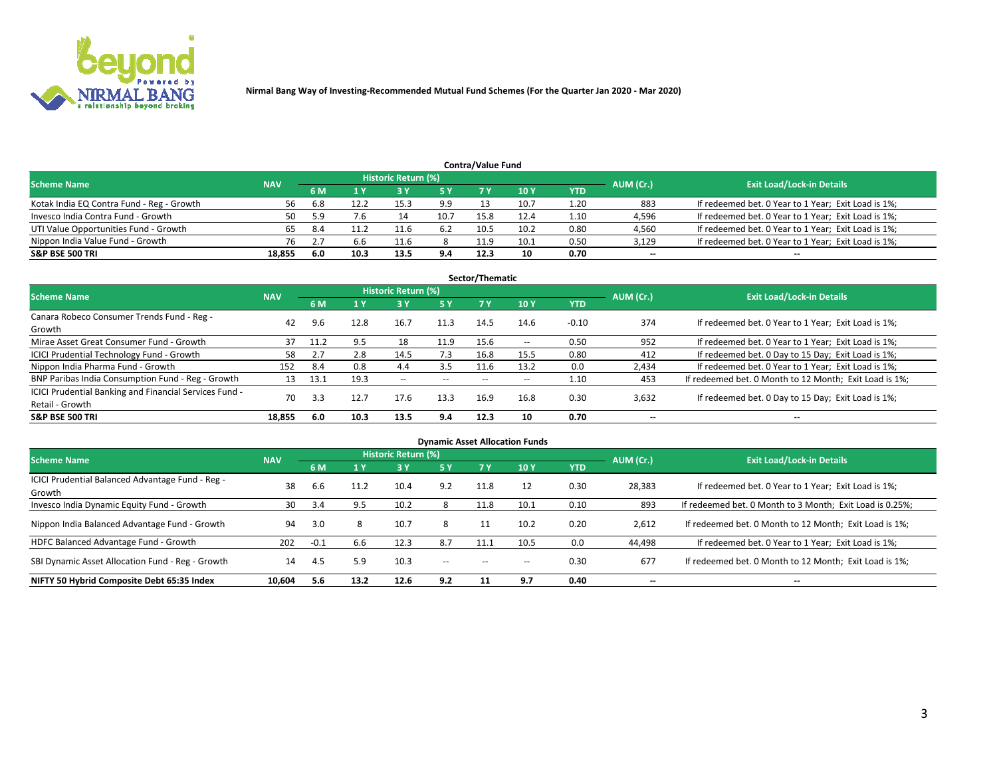

| <b>Contra/Value Fund</b>                                                                                        |        |      |      |      |      |      |      |            |        |                                                     |  |  |  |  |
|-----------------------------------------------------------------------------------------------------------------|--------|------|------|------|------|------|------|------------|--------|-----------------------------------------------------|--|--|--|--|
| <b>Historic Return (%)</b><br><b>Exit Load/Lock-in Details</b><br>AUM (Cr.)<br><b>Scheme Name</b><br><b>NAV</b> |        |      |      |      |      |      |      |            |        |                                                     |  |  |  |  |
|                                                                                                                 |        | 6 M  |      |      | 5 Y  | 7 V  | 10Y  | <b>YTD</b> |        |                                                     |  |  |  |  |
| Kotak India EQ Contra Fund - Reg - Growth                                                                       | 56     | -6.8 | 12.2 | 15.3 | 9.9  |      | 10.7 | 1.20       | 883    | If redeemed bet. 0 Year to 1 Year; Exit Load is 1%; |  |  |  |  |
| Invesco India Contra Fund - Growth                                                                              | 50     | 5.9  | 7.6  | 14   | 10.7 | 15.8 | 12.4 | 1.10       | 4,596  | If redeemed bet. 0 Year to 1 Year; Exit Load is 1%; |  |  |  |  |
| UTI Value Opportunities Fund - Growth                                                                           |        | 8.4  | 11.2 |      | 6.2  | 10.5 | 10.2 | 0.80       | 4,560  | If redeemed bet. 0 Year to 1 Year; Exit Load is 1%; |  |  |  |  |
| Nippon India Value Fund - Growth                                                                                | 76     |      | b.b  | 11.6 |      | 11.9 | 10.1 | 0.50       | 3,129  | If redeemed bet. 0 Year to 1 Year; Exit Load is 1%; |  |  |  |  |
| <b>S&amp;P BSE 500 TRI</b>                                                                                      | 18,855 | -6.0 | 10.3 | 13.5 | 9.4  | 12.3 | 10   | 0.70       | $\sim$ | $- -$                                               |  |  |  |  |

|                                                                           |            |      |      |                     |           | Sector/Thematic |                          |            |                          |                                                        |
|---------------------------------------------------------------------------|------------|------|------|---------------------|-----------|-----------------|--------------------------|------------|--------------------------|--------------------------------------------------------|
| <b>Scheme Name</b>                                                        | <b>NAV</b> |      |      | Historic Return (%) |           |                 |                          |            | AUM (Cr.)                | <b>Exit Load/Lock-in Details</b>                       |
|                                                                           |            | 6 M  | 1 Y  | 73 Y                | <b>5Y</b> | 7 Y             | 10Y                      | <b>YTD</b> |                          |                                                        |
| Canara Robeco Consumer Trends Fund - Reg -<br>Growth                      | 42         | 9.6  | 12.8 | 16.7                | 11.3      | 14.5            | 14.6                     | $-0.10$    | 374                      | If redeemed bet. 0 Year to 1 Year; Exit Load is 1%;    |
| Mirae Asset Great Consumer Fund - Growth                                  | 37         | 11.2 | 9.5  | 18                  | 11.9      | 15.6            | $\overline{\phantom{a}}$ | 0.50       | 952                      | If redeemed bet. 0 Year to 1 Year; Exit Load is 1%;    |
| ICICI Prudential Technology Fund - Growth                                 | 58         |      | 2.8  | 14.5                | 7.3       | 16.8            | 15.5                     | 0.80       | 412                      | If redeemed bet. 0 Day to 15 Day; Exit Load is 1%;     |
| Nippon India Pharma Fund - Growth                                         | 152        | 8.4  | 0.8  | 4.4                 | 3.5       | 11.6            | 13.2                     | 0.0        | 2,434                    | If redeemed bet. 0 Year to 1 Year; Exit Load is 1%;    |
| BNP Paribas India Consumption Fund - Reg - Growth                         | 13         | 13.1 | 19.3 | $- -$               | $- -$     | $- -$           | $- -$                    | 1.10       | 453                      | If redeemed bet. 0 Month to 12 Month; Exit Load is 1%; |
| ICICI Prudential Banking and Financial Services Fund -<br>Retail - Growth | 70         | 3.3  | 12.7 | 17.6                | 13.3      | 16.9            | 16.8                     | 0.30       | 3,632                    | If redeemed bet. 0 Day to 15 Day; Exit Load is 1%;     |
| <b>S&amp;P BSE 500 TRI</b>                                                | 18.855     | 6.0  | 10.3 | 13.5                | 9.4       | 12.3            | 10                       | 0.70       | $\overline{\phantom{a}}$ | $- -$                                                  |

| <b>Dynamic Asset Allocation Funds</b>                      |            |        |      |                     |        |       |       |            |           |                                                          |  |  |  |
|------------------------------------------------------------|------------|--------|------|---------------------|--------|-------|-------|------------|-----------|----------------------------------------------------------|--|--|--|
| <b>Scheme Name</b>                                         | <b>NAV</b> |        |      | Historic Return (%) |        |       |       |            | AUM (Cr.) | <b>Exit Load/Lock-in Details</b>                         |  |  |  |
|                                                            |            | 6 M    | 1 Y  | 73 Y                | 5 Y    |       | 10Y   | <b>YTD</b> |           |                                                          |  |  |  |
| ICICI Prudential Balanced Advantage Fund - Reg -<br>Growth | 38         | 6.6    | 11.2 | 10.4                | 9.2    | 11.8  | 12    | 0.30       | 28,383    | If redeemed bet. 0 Year to 1 Year; Exit Load is 1%;      |  |  |  |
| Invesco India Dynamic Equity Fund - Growth                 | 30         | 3.4    | 9.5  | 10.2                |        | 11.8  | 10.1  | 0.10       | 893       | If redeemed bet. 0 Month to 3 Month; Exit Load is 0.25%; |  |  |  |
| Nippon India Balanced Advantage Fund - Growth              | 94         | 3.0    |      | 10.7                | 8      |       | 10.2  | 0.20       | 2,612     | If redeemed bet. 0 Month to 12 Month; Exit Load is 1%;   |  |  |  |
| HDFC Balanced Advantage Fund - Growth                      | 202        | $-0.1$ | 6.6  | 12.3                | 8.7    | 11.1  | 10.5  | 0.0        | 44,498    | If redeemed bet. 0 Year to 1 Year; Exit Load is 1%;      |  |  |  |
| SBI Dynamic Asset Allocation Fund - Reg - Growth           | 14         | 4.5    | 5.9  | 10.3                | $\sim$ | $- -$ | $- -$ | 0.30       | 677       | If redeemed bet. 0 Month to 12 Month; Exit Load is 1%;   |  |  |  |
| NIFTY 50 Hybrid Composite Debt 65:35 Index                 | 10,604     | 5.6    | 13.2 | 12.6                | 9.2    | 11    | 9.7   | 0.40       | $\sim$    | --                                                       |  |  |  |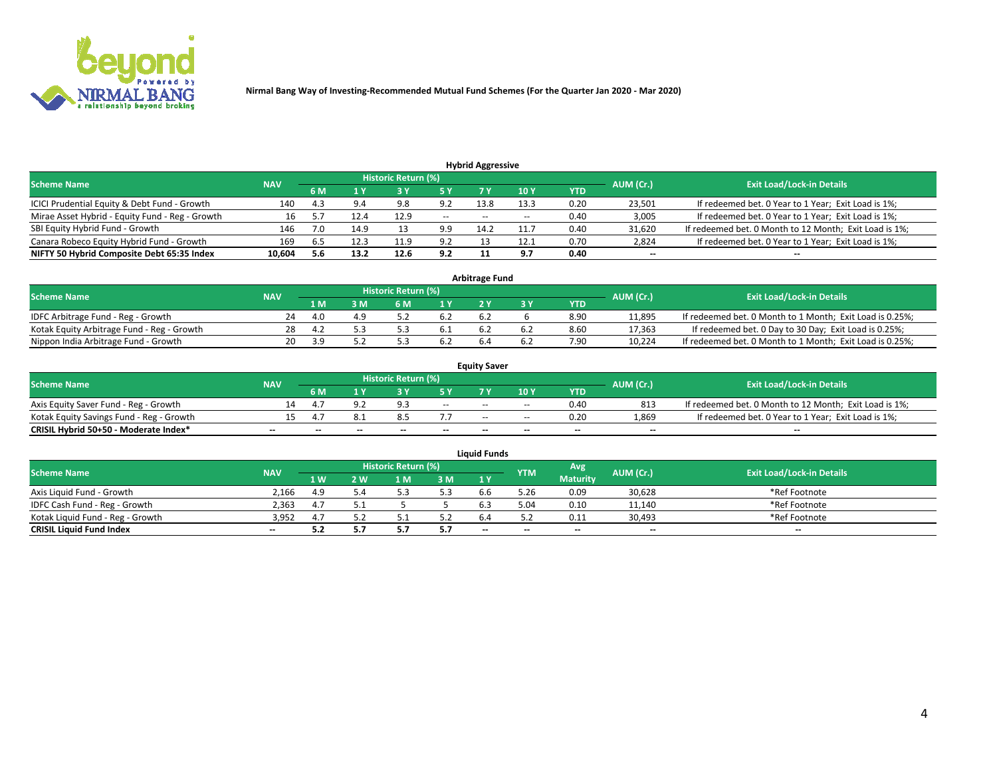

| <b>Hybrid Aggressive</b>                        |            |     |      |                            |               |       |       |      |                          |                                                        |  |  |  |  |
|-------------------------------------------------|------------|-----|------|----------------------------|---------------|-------|-------|------|--------------------------|--------------------------------------------------------|--|--|--|--|
| <b>Scheme Name</b>                              | <b>NAV</b> |     |      | <b>Historic Return (%)</b> |               |       |       |      | AUM (Cr.)                | <b>Exit Load/Lock-in Details</b>                       |  |  |  |  |
|                                                 |            | 6 M |      |                            | 5 Y           |       | 10Y   | YTD  |                          |                                                        |  |  |  |  |
| ICICI Prudential Equity & Debt Fund - Growth    | 140        | 4.3 | 9.4  | 9.8                        | 9.2           | 13.8  | 13.3  | 0.20 | 23,501                   | If redeemed bet. 0 Year to 1 Year; Exit Load is 1%;    |  |  |  |  |
| Mirae Asset Hybrid - Equity Fund - Reg - Growth | 16         |     | 12.4 | 12.9                       | $\sim$ $\sim$ | $- -$ | $- -$ | 0.40 | 3,005                    | If redeemed bet. 0 Year to 1 Year; Exit Load is 1%;    |  |  |  |  |
| SBI Equity Hybrid Fund - Growth                 | 146        |     | 14.9 |                            | 9.9           | 14.2  |       | 0.40 | 31,620                   | If redeemed bet. 0 Month to 12 Month; Exit Load is 1%; |  |  |  |  |
| Canara Robeco Equity Hybrid Fund - Growth       | 169        | 6.5 |      | 11.9                       | 9.2           |       | 12.1  | 0.70 | 2,824                    | If redeemed bet. 0 Year to 1 Year; Exit Load is 1%;    |  |  |  |  |
| NIFTY 50 Hybrid Composite Debt 65:35 Index      | 10,604     | 5.6 | 13.2 | 12.6                       | 9.2           |       | ດ 7   | 0.40 | $\overline{\phantom{a}}$ | $- -$                                                  |  |  |  |  |

|                                            |            |                                  |     |     |      | <b>Arbitrage Fund</b> |      |        |                                                          |
|--------------------------------------------|------------|----------------------------------|-----|-----|------|-----------------------|------|--------|----------------------------------------------------------|
| Scheme Name                                | AUM (Cr.)  | <b>Exit Load/Lock-in Details</b> |     |     |      |                       |      |        |                                                          |
|                                            | <b>NAV</b> | 1 M                              | ያ M | 6 M |      |                       | YTD  |        |                                                          |
| IDFC Arbitrage Fund - Reg - Growth         | 24         | 4.0                              |     |     | 6.2  | 6.2                   | 8.90 | 11,895 | If redeemed bet. 0 Month to 1 Month; Exit Load is 0.25%; |
| Kotak Equity Arbitrage Fund - Reg - Growth | 28         | 4.Z                              |     |     | -6.1 |                       | 8.60 | 17,363 | If redeemed bet. 0 Day to 30 Day; Exit Load is 0.25%;    |
| Nippon India Arbitrage Fund - Growth       | 20         | 2 Q                              |     |     | 6.2  |                       | 7.90 | 10.224 | If redeemed bet. 0 Month to 1 Month; Exit Load is 0.25%; |

|                                          |            |           |                                  |                 |                           | <b>Equity Saver</b>      |       |            |        |                                                        |
|------------------------------------------|------------|-----------|----------------------------------|-----------------|---------------------------|--------------------------|-------|------------|--------|--------------------------------------------------------|
| Scheme Name                              | <b>NAV</b> | AUM (Cr.) | <b>Exit Load/Lock-in Details</b> |                 |                           |                          |       |            |        |                                                        |
|                                          |            | 6 M       |                                  |                 | 5 V                       |                          | 10Y   | <b>YTD</b> |        |                                                        |
| Axis Equity Saver Fund - Reg - Growth    |            |           |                                  | $\Omega$ :      | $\sim$                    | $- -$                    | $- -$ | 0.40       | 813    | If redeemed bet. 0 Month to 12 Month; Exit Load is 1%; |
| Kotak Equity Savings Fund - Reg - Growth |            |           |                                  |                 | $^{\prime}$ . $^{\prime}$ | $\overline{\phantom{a}}$ | --    | 0.20       | 1,869  | If redeemed bet. 0 Year to 1 Year; Exit Load is 1%;    |
| CRISIL Hybrid 50+50 - Moderate Index*    | $- -$      |           | $\overline{\phantom{a}}$         | $\qquad \qquad$ | $\overline{\phantom{a}}$  | $\sim$                   | --    | $- -$      | $\sim$ | $- -$                                                  |

| <b>Liquid Funds</b>              |                          |                   |     |                            |     |        |            |                 |           |                                  |  |  |  |  |
|----------------------------------|--------------------------|-------------------|-----|----------------------------|-----|--------|------------|-----------------|-----------|----------------------------------|--|--|--|--|
| <b>Scheme Name</b>               | <b>NAV</b>               |                   |     | <b>Historic Return (%)</b> |     |        | <b>YTM</b> | Avg             | AUM (Cr.) | <b>Exit Load/Lock-in Details</b> |  |  |  |  |
|                                  |                          | $4 \, \mathrm{W}$ | 2 W | M                          | 3M  | 1Y     |            | <b>Maturity</b> |           |                                  |  |  |  |  |
| Axis Liquid Fund - Growth        | 2.166                    | 4.9               |     |                            | 5.3 | b.b    | 5.26       | 0.09            | 30,628    | *Ref Footnote                    |  |  |  |  |
| IDFC Cash Fund - Reg - Growth    | 2.363                    | 4.7               |     |                            |     |        | 5.04       | 0.10            | 11,140    | *Ref Footnote                    |  |  |  |  |
| Kotak Liguid Fund - Reg - Growth | 3,952                    | 4.7               |     |                            | ے.ر |        |            | 0.11            | 30,493    | *Ref Footnote                    |  |  |  |  |
| <b>CRISIL Liquid Fund Index</b>  | $\overline{\phantom{a}}$ |                   |     |                            | 5.7 | $\sim$ | $-$        | $- -$           | $-$       | $\sim$                           |  |  |  |  |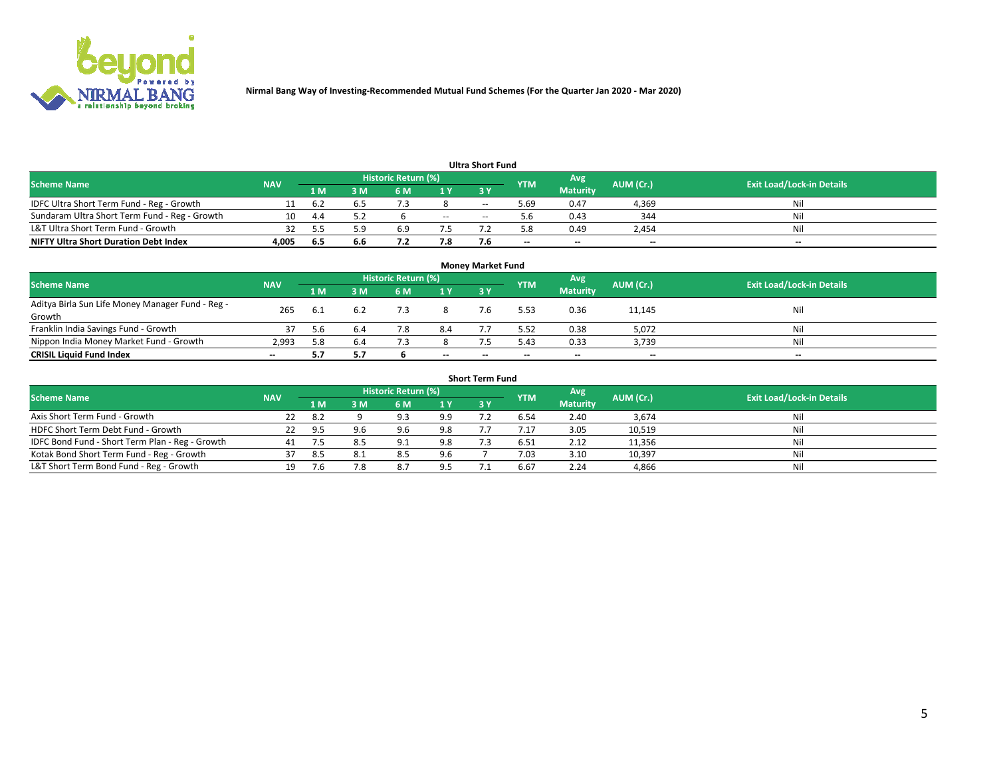

|                                               |            |      |     |                     |     | <b>Ultra Short Fund</b> |            |                 |           |                                  |
|-----------------------------------------------|------------|------|-----|---------------------|-----|-------------------------|------------|-----------------|-----------|----------------------------------|
| <b>Scheme Name</b>                            | <b>NAV</b> |      |     | Historic Return (%) |     |                         | <b>YTM</b> | Avg             | AUM (Cr.) | <b>Exit Load/Lock-in Details</b> |
|                                               |            | 1 M  | 3 M | 6 M                 | 1 Y | <b>3 Y</b>              |            | <b>Maturity</b> |           |                                  |
| IDFC Ultra Short Term Fund - Reg - Growth     |            | -6.2 |     |                     |     | $- -$                   | 5.69       | 0.47            | 4,369     | Nil                              |
| Sundaram Ultra Short Term Fund - Reg - Growth |            | -4.4 |     |                     | $-$ | --                      |            | 0.43            | 344       | Nil                              |
| L&T Ultra Short Term Fund - Growth            |            |      | : ၀ | 6.9                 |     |                         | 5.8        | 0.49            | 2,454     | Nil                              |
| <b>NIFTY Ultra Short Duration Debt Index</b>  | 4.005      | -6.5 | 6.6 |                     | 7.8 |                         | $\sim$     | $\sim$          | $\sim$    | $- -$                            |

| <b>Money Market Fund</b>                         |            |      |     |                     |        |    |            |                 |           |                                  |  |  |  |
|--------------------------------------------------|------------|------|-----|---------------------|--------|----|------------|-----------------|-----------|----------------------------------|--|--|--|
| <b>Scheme Name</b>                               | <b>NAV</b> |      |     | Historic Return (%) |        |    | <b>YTM</b> | 'Avg            | AUM (Cr.) | <b>Exit Load/Lock-in Details</b> |  |  |  |
|                                                  |            | 1 M  | 3 M | 6 M                 | 1 Y    | 3Y |            | <b>Maturity</b> |           |                                  |  |  |  |
| Aditya Birla Sun Life Money Manager Fund - Reg - | 265        | -6.1 |     |                     |        |    | 5.53       | 0.36            | 11,145    | Nil                              |  |  |  |
| Growth                                           |            |      |     |                     |        |    |            |                 |           |                                  |  |  |  |
| Franklin India Savings Fund - Growth             |            | 5.6  | 6.4 | 7.8                 | 8.4    |    | 5.52       | 0.38            | 5,072     | Nil                              |  |  |  |
| Nippon India Money Market Fund - Growth          | 2,993      | 5.8  | 6.4 |                     |        |    | 5.43       | 0.33            | 3,739     | Nil                              |  |  |  |
| <b>CRISIL Liquid Fund Index</b>                  | $- -$      |      |     |                     | $\sim$ | -- | --         | $\sim$          | $\sim$    | $\sim$                           |  |  |  |

| <b>Short Term Fund</b>                          |            |      |     |                     |     |            |            |                 |           |                                  |  |  |  |  |
|-------------------------------------------------|------------|------|-----|---------------------|-----|------------|------------|-----------------|-----------|----------------------------------|--|--|--|--|
| <b>Scheme Name</b>                              | <b>NAV</b> |      |     | Historic Return (%) |     |            | <b>YTM</b> | Avg             | AUM (Cr.) | <b>Exit Load/Lock-in Details</b> |  |  |  |  |
|                                                 |            | 1 M  | 3 M | 6 M                 | 1 Y | <b>3 Y</b> |            | <b>Maturity</b> |           |                                  |  |  |  |  |
| Axis Short Term Fund - Growth                   | 22         | -8.2 |     | 9.3                 | 9.9 |            | 6.54       | 2.40            | 3,674     | Nil                              |  |  |  |  |
| HDFC Short Term Debt Fund - Growth              | 22         | 9.5  | 9.6 | 9.6                 | 9.8 |            |            | 3.05            | 10,519    | Nil                              |  |  |  |  |
| IDFC Bond Fund - Short Term Plan - Reg - Growth | 41         |      |     | Q <sub>1</sub>      | 9.8 |            | 6.51       | 2.12            | 11,356    | Nil                              |  |  |  |  |
| Kotak Bond Short Term Fund - Reg - Growth       |            | -8.5 | 8.1 | 8.5                 | 9.6 |            | 7.03       | 3.10            | 10,397    | Nil                              |  |  |  |  |
| L&T Short Term Bond Fund - Reg - Growth         | 19.        |      | 7.8 | 8.7                 | 9.5 |            | 6.67       | 2.24            | 4,866     | Nil                              |  |  |  |  |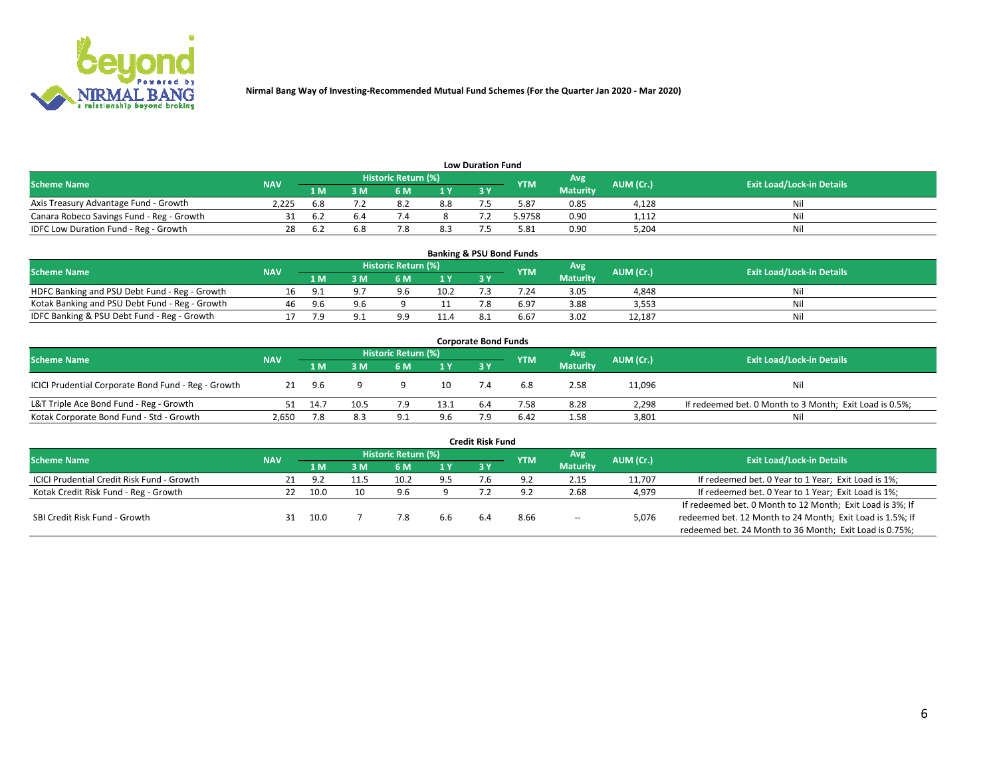

| <b>Low Duration Fund</b>                  |            |                               |     |                            |      |  |            |                 |           |                                  |  |  |  |  |
|-------------------------------------------|------------|-------------------------------|-----|----------------------------|------|--|------------|-----------------|-----------|----------------------------------|--|--|--|--|
| <b>Scheme Name</b>                        | <b>NAV</b> |                               |     | <b>Historic Return (%)</b> |      |  | <b>YTM</b> | Avg             | AUM (Cr.) | <b>Exit Load/Lock-in Details</b> |  |  |  |  |
|                                           |            | 1 M                           | ያ M | 5 M                        | 4 V. |  |            | <b>Maturity</b> |           |                                  |  |  |  |  |
| Axis Treasury Advantage Fund - Growth     | 2.225      |                               |     | 8.2                        | 8.8  |  | 5.87       | 0.85            | 4,128     | Nil                              |  |  |  |  |
| Canara Robeco Savings Fund - Reg - Growth |            | .b 2                          |     |                            |      |  | 5.9758     | 0.90            | 1,112     | Nil                              |  |  |  |  |
| IDFC Low Duration Fund - Reg - Growth     |            | $\mathbf{b} \cdot \mathbf{c}$ | 6.8 |                            | 8.3  |  | 5.81       | 0.90            | 5,204     | Nil                              |  |  |  |  |

| <b>Banking &amp; PSU Bond Funds</b>            |            |            |     |                            |      |    |            |                 |           |                                  |  |  |  |
|------------------------------------------------|------------|------------|-----|----------------------------|------|----|------------|-----------------|-----------|----------------------------------|--|--|--|
| <b>Scheme Name</b>                             | <b>NAV</b> |            |     | <b>Historic Return (%)</b> |      |    | <b>YTM</b> | Avg             | AUM (Cr.) | <b>Exit Load/Lock-in Details</b> |  |  |  |
|                                                |            | 1 M        | sм  | 6 M                        | 71 Y | 3Y |            | <b>Maturity</b> |           |                                  |  |  |  |
| HDFC Banking and PSU Debt Fund - Reg - Growth  |            | <b>Q</b> 1 |     | 9.6                        | 10.2 |    | 7.24       | 3.05            | 4,848     | Ni                               |  |  |  |
| Kotak Banking and PSU Debt Fund - Reg - Growth | 46         | 9.6        | 9.b |                            |      |    | 6.97       | 3.88            | 3,553     | Ni                               |  |  |  |
| IDFC Banking & PSU Debt Fund - Reg - Growth    |            |            |     | $\alpha$                   | 11.4 |    | 6.67       | 3.02            | 12.187    | Ni                               |  |  |  |

| <b>Corporate Bond Funds</b>                         |            |      |      |                     |      |     |            |                 |           |                                                         |  |  |  |  |
|-----------------------------------------------------|------------|------|------|---------------------|------|-----|------------|-----------------|-----------|---------------------------------------------------------|--|--|--|--|
| <b>Scheme Name</b>                                  | <b>NAV</b> |      |      | Historic Return (%) |      |     | <b>YTM</b> | Avg'            | AUM (Cr.) | <b>Exit Load/Lock-in Details</b>                        |  |  |  |  |
|                                                     |            | 1 M  | : M  | 6 M                 | 1 Y  | 3 Y |            | <b>Maturity</b> |           |                                                         |  |  |  |  |
| ICICI Prudential Corporate Bond Fund - Reg - Growth | 21         | 9.6  |      |                     | 10   |     | 6.8        | 2.58            | 11,096    | Nil                                                     |  |  |  |  |
| L&T Triple Ace Bond Fund - Reg - Growth             |            | 14.7 | 10.5 |                     | 13.1 | 6.4 | 7.58       | 8.28            | 2,298     | If redeemed bet. 0 Month to 3 Month; Exit Load is 0.5%; |  |  |  |  |
| Kotak Corporate Bond Fund - Std - Growth            | 2,650      |      | 8.3  | ۵۰                  | 9.6  |     | 6.42       | 1.58            | 3,801     | Nil                                                     |  |  |  |  |

| <b>Credit Risk Fund</b>                    |            |      |     |                     |     |    |            |                 |           |                                                           |  |  |  |
|--------------------------------------------|------------|------|-----|---------------------|-----|----|------------|-----------------|-----------|-----------------------------------------------------------|--|--|--|
| <b>Scheme Name</b>                         | <b>NAV</b> |      |     | Historic Return (%) |     |    | <b>YTM</b> | Avg             | AUM (Cr.) | <b>Exit Load/Lock-in Details</b>                          |  |  |  |
|                                            |            | 1 M  | ያ M | 6 M                 | 1 Y | 3Y |            | <b>Maturity</b> |           |                                                           |  |  |  |
| ICICI Prudential Credit Risk Fund - Growth |            | -97  |     |                     | 9.5 |    |            | 2.15            | 11,707    | If redeemed bet. 0 Year to 1 Year; Exit Load is 1%;       |  |  |  |
| Kotak Credit Risk Fund - Reg - Growth      |            | 10.0 | 10  | 9.6                 |     |    |            | 2.68            | 4,979     | If redeemed bet. 0 Year to 1 Year; Exit Load is 1%;       |  |  |  |
|                                            |            |      |     |                     |     |    |            |                 |           | If redeemed bet. 0 Month to 12 Month; Exit Load is 3%; If |  |  |  |
| SBI Credit Risk Fund - Growth              |            | 10.0 |     |                     | 6.6 |    | 8.66       | $\sim$          | 5,076     | redeemed bet. 12 Month to 24 Month; Exit Load is 1.5%; If |  |  |  |
|                                            |            |      |     |                     |     |    |            |                 |           | redeemed bet. 24 Month to 36 Month; Exit Load is 0.75%;   |  |  |  |